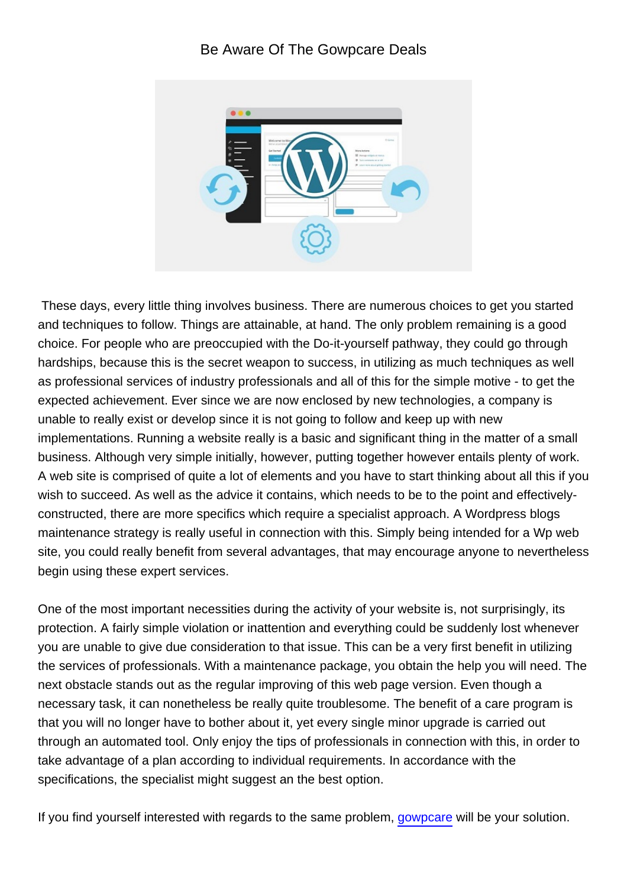## Be Aware Of The Gowpcare Deals



 These days, every little thing involves business. There are numerous choices to get you started and techniques to follow. Things are attainable, at hand. The only problem remaining is a good choice. For people who are preoccupied with the Do-it-yourself pathway, they could go through hardships, because this is the secret weapon to success, in utilizing as much techniques as well as professional services of industry professionals and all of this for the simple motive - to get the expected achievement. Ever since we are now enclosed by new technologies, a company is unable to really exist or develop since it is not going to follow and keep up with new implementations. Running a website really is a basic and significant thing in the matter of a small business. Although very simple initially, however, putting together however entails plenty of work. A web site is comprised of quite a lot of elements and you have to start thinking about all this if you wish to succeed. As well as the advice it contains, which needs to be to the point and effectivelyconstructed, there are more specifics which require a specialist approach. A Wordpress blogs maintenance strategy is really useful in connection with this. Simply being intended for a Wp web site, you could really benefit from several advantages, that may encourage anyone to nevertheless begin using these expert services.

One of the most important necessities during the activity of your website is, not surprisingly, its protection. A fairly simple violation or inattention and everything could be suddenly lost whenever you are unable to give due consideration to that issue. This can be a very first benefit in utilizing the services of professionals. With a maintenance package, you obtain the help you will need. The next obstacle stands out as the regular improving of this web page version. Even though a necessary task, it can nonetheless be really quite troublesome. The benefit of a care program is that you will no longer have to bother about it, yet every single minor upgrade is carried out through an automated tool. Only enjoy the tips of professionals in connection with this, in order to take advantage of a plan according to individual requirements. In accordance with the specifications, the specialist might suggest an the best option.

If you find yourself interested with regards to the same problem, [gowpcare](https://gowpcare.com/) will be your solution.